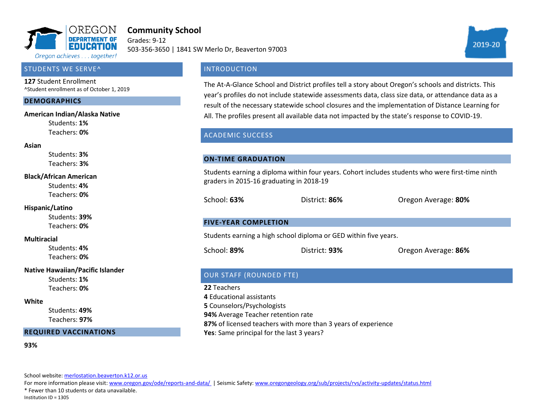

# **Community School**

Grades: 9-12 503-356-3650 | 1841 SW Merlo Dr, Beaverton 97003



#### STUDENTS WE SERVE^

**127** Student Enrollment ^Student enrollment as of October 1, 2019

#### **DEMOGRAPHICS**

#### **American Indian/Alaska Native**

Students: **1%** Teachers: **0%**

#### **Asian**

Students: **3%** Teachers: **3%**

#### **Black/African American**

Students: **4%** Teachers: **0%**

#### **Hispanic/Latino**

Students: **39%** Teachers: **0%**

#### **Multiracial**

Students: **4%** Teachers: **0%**

#### **Native Hawaiian/Pacific Islander**

Students: **1%** Teachers: **0%**

#### **White**

Students: **49%** Teachers: **97%**

#### **REQUIRED VACCINATIONS**

#### **93%**

School website[: merlostation.beaverton.k12.or.us](merlostation.beaverton.k12.or.us)

For more information please visit: [www.oregon.gov/ode/reports-and-data/ |](https://www.oregon.gov/ode/reports-and-data/Pages/default.aspx) Seismic Safety[: www.oregongeology.org/sub/projects/rvs/activity-updates/status.html](http://www.oregongeology.org/sub/projects/rvs/activity-updates/status.html)

\* Fewer than 10 students or data unavailable.

Institution ID = 1305

## **INTRODUCTION**

The At-A-Glance School and District profiles tell a story about Oregon's schools and districts. This year's profiles do not include statewide assessments data, class size data, or attendance data as a result of the necessary statewide school closures and the implementation of Distance Learning for All. The profiles present all available data not impacted by the state's response to COVID-19.

### ACADEMIC SUCCESS

#### **ON-TIME GRADUATION**

Students earning a diploma within four years. Cohort includes students who were first-time ninth graders in 2015-16 graduating in 2018-19

School: **63%** District: **86%** Oregon Average: **80%**

#### **FIVE-YEAR COMPLETION**

Students earning a high school diploma or GED within five years.

School: **89%** District: **93%** Oregon Average: **86%**

## OUR STAFF (ROUNDED FTE)

**22** Teachers **4** Educational assistants **5** Counselors/Psychologists **94%** Average Teacher retention rate **87%** of licensed teachers with more than 3 years of experience **Yes**: Same principal for the last 3 years?